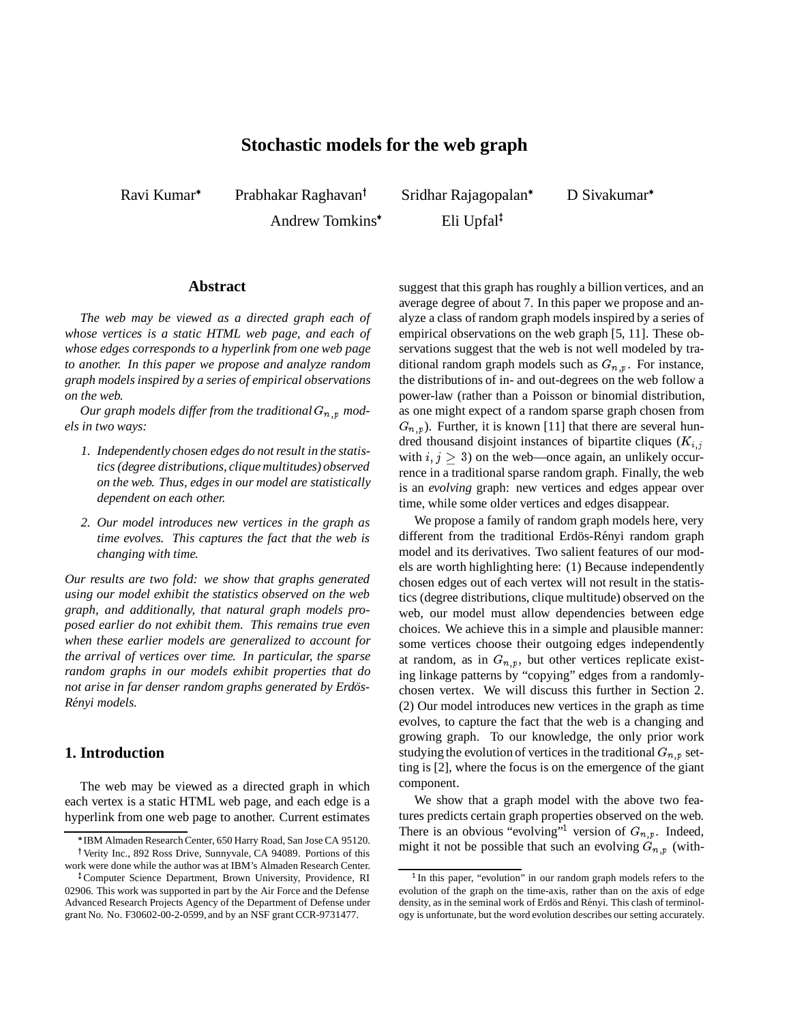# **Stochastic models for the web graph**

Ravi Kumar

Prabhakar Raghavan<sup>†</sup>

Andrew Tomkins

Sridhar Rajagopalan Eli Upfal<sup>‡</sup>

D Sivakumar

## **Abstract**

*The web may be viewed as a directed graph each of whose vertices is a static HTML web page, and each of whose edges corresponds to a hyperlink from one web page to another. In this paper we propose and analyze random graph models inspired by a series of empirical observations on the web.*

Our graph models differ from the traditional  $G_{n,p}$  mod*els in two ways:*

- *1. Independently chosen edges do not result in the statistics (degree distributions, clique multitudes) observed on the web. Thus, edges in our model are statistically dependent on each other.*
- *2. Our model introduces new vertices in the graph as time evolves. This captures the fact that the web is changing with time.*

*Our results are two fold: we show that graphs generated using our model exhibit the statistics observed on the web graph, and additionally, that natural graph models proposed earlier do not exhibit them. This remains true even when these earlier models are generalized to account for the arrival of vertices over time. In particular, the sparse random graphs in our models exhibit properties that do not arise in far denser random graphs generated by Erdös-R´enyi models.*

## **1. Introduction**

The web may be viewed as a directed graph in which each vertex is a static HTML web page, and each edge is a hyperlink from one web page to another. Current estimates suggest that this graph has roughly a billion vertices, and an average degree of about 7. In this paper we propose and analyze a class of random graph models inspired by a series of empirical observations on the web graph [5, 11]. These observations suggest that the web is not well modeled by traditional random graph models such as  $G_{n,p}$ . For instance, the distributions of in- and out-degrees on the web follow a power-law (rather than a Poisson or binomial distribution, as one might expect of a random sparse graph chosen from  $G_{n,p}$ ). Further, it is known [11] that there are several hundred thousand disjoint instances of bipartite cliques  $(K_{i,j})$ with  $i, j \geq 3$ ) on the web—once again, an unlikely occurrence in a traditional sparse random graph. Finally, the web is an *evolving* graph: new vertices and edges appear over time, while some older vertices and edges disappear.

We propose a family of random graph models here, very different from the traditional Erdös-Rényi random graph model and its derivatives. Two salient features of our models are worth highlighting here: (1) Because independently chosen edges out of each vertex will not result in the statistics (degree distributions, clique multitude) observed on the web, our model must allow dependencies between edge choices. We achieve this in a simple and plausible manner: some vertices choose their outgoing edges independently at random, as in  $G_{n,p}$ , but other vertices replicate existing linkage patterns by "copying" edges from a randomlychosen vertex. We will discuss this further in Section 2. (2) Our model introduces new vertices in the graph as time evolves, to capture the fact that the web is a changing and growing graph. To our knowledge, the only prior work studying the evolution of vertices in the traditional  $G_{n,p}$  setting is [2], where the focus is on the emergence of the giant component.

We show that a graph model with the above two features predicts certain graph properties observed on the web. There is an obvious "evolving"<sup>1</sup> version of  $G_{n,p}$ . Indeed, might it not be possible that such an evolving  $G_{n,p}$  (with-

IBM Almaden Research Center, 650 Harry Road, San Jose CA 95120. <sup>†</sup> Verity Inc., 892 Ross Drive, Sunnyvale, CA 94089. Portions of this work were done while the author was at IBM's Almaden Research Center.

<sup>&</sup>lt;sup>‡</sup> Computer Science Department, Brown University, Providence, RI 02906. This work was supported in part by the Air Force and the Defense Advanced Research Projects Agency of the Department of Defense under grant No. No. F30602-00-2-0599, and by an NSF grant CCR-9731477.

<sup>&</sup>lt;sup>1</sup> In this paper, "evolution" in our random graph models refers to the evolution of the graph on the time-axis, rather than on the axis of edge density, as in the seminal work of Erdös and Rényi. This clash of terminology is unfortunate, but the word evolution describes our setting accurately.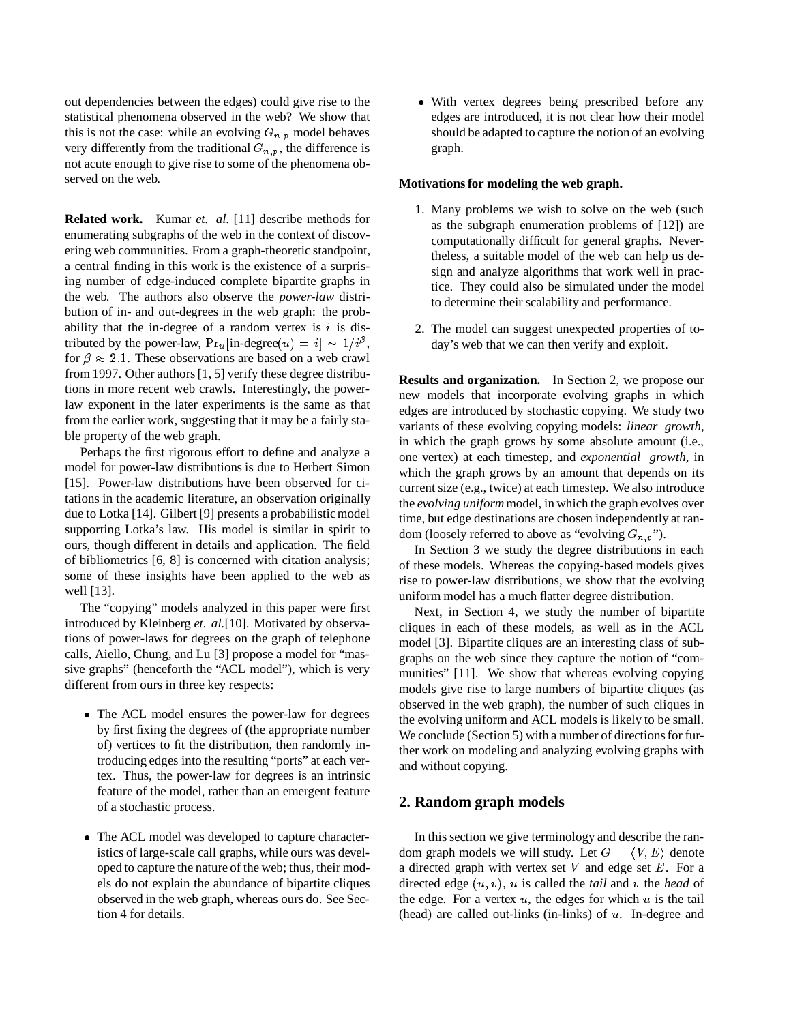out dependencies between the edges) could give rise to the statistical phenomena observed in the web? We show that this is not the case: while an evolving  $G_{n,p}$  model behaves very differently from the traditional  $G_{n,p}$ , the difference is not acute enough to give rise to some of the phenomena observed on the web.

**Related work.** Kumar *et. al.* [11] describe methods for enumerating subgraphs of the web in the context of discovering web communities. From a graph-theoretic standpoint, a central finding in this work is the existence of a surprising number of edge-induced complete bipartite graphs in the web. The authors also observe the *power-law* distribution of in- and out-degrees in the web graph: the probability that the in-degree of a random vertex is  $i$  is distributed by the power-law,  $Pr_u$  [in-degree(u) = i]  $\sim 1/i^{\beta}$ , for  $\beta \approx 2.1$ . These observations are based on a web crawl from 1997. Other authors [1, 5] verify these degree distributions in more recent web crawls. Interestingly, the powerlaw exponent in the later experiments is the same as that from the earlier work, suggesting that it may be a fairly stable property of the web graph.

Perhaps the first rigorous effort to define and analyze a model for power-law distributions is due to Herbert Simon [15]. Power-law distributions have been observed for citations in the academic literature, an observation originally due to Lotka [14]. Gilbert [9] presents a probabilistic model supporting Lotka's law. His model is similar in spirit to ours, though different in details and application. The field of bibliometrics [6, 8] is concerned with citation analysis; some of these insights have been applied to the web as well [13].

The "copying" models analyzed in this paper were first introduced by Kleinberg *et. al.*[10]. Motivated by observations of power-laws for degrees on the graph of telephone calls, Aiello, Chung, and Lu [3] propose a model for "massive graphs" (henceforth the "ACL model"), which is very different from ours in three key respects:

- The ACL model ensures the power-law for degrees by first fixing the degrees of (the appropriate number of) vertices to fit the distribution, then randomly introducing edges into the resulting "ports" at each vertex. Thus, the power-law for degrees is an intrinsic feature of the model, rather than an emergent feature of a stochastic process.
- The ACL model was developed to capture characteristics of large-scale call graphs, while ours was developed to capture the nature of the web; thus, their models do not explain the abundance of bipartite cliques observed in the web graph, whereas ours do. See Section 4 for details.

 With vertex degrees being prescribed before any edges are introduced, it is not clear how their model should be adapted to capture the notion of an evolving graph.

## **Motivations for modeling the web graph.**

- 1. Many problems we wish to solve on the web (such as the subgraph enumeration problems of [12]) are computationally difficult for general graphs. Nevertheless, a suitable model of the web can help us design and analyze algorithms that work well in practice. They could also be simulated under the model to determine their scalability and performance.
- 2. The model can suggest unexpected properties of today's web that we can then verify and exploit.

**Results and organization.** In Section 2, we propose our new models that incorporate evolving graphs in which edges are introduced by stochastic copying. We study two variants of these evolving copying models: *linear growth*, in which the graph grows by some absolute amount (i.e., one vertex) at each timestep, and *exponential growth*, in which the graph grows by an amount that depends on its current size (e.g., twice) at each timestep. We also introduce the *evolving uniform*model, in which the graph evolves over time, but edge destinations are chosen independently at random (loosely referred to above as "evolving  $G_{n,p}$ ").

In Section 3 we study the degree distributions in each of these models. Whereas the copying-based models gives rise to power-law distributions, we show that the evolving uniform model has a much flatter degree distribution.

Next, in Section 4, we study the number of bipartite cliques in each of these models, as well as in the ACL model [3]. Bipartite cliques are an interesting class of subgraphs on the web since they capture the notion of "communities" [11]. We show that whereas evolving copying models give rise to large numbers of bipartite cliques (as observed in the web graph), the number of such cliques in the evolving uniform and ACL models is likely to be small. We conclude (Section 5) with a number of directions for further work on modeling and analyzing evolving graphs with and without copying.

## **2. Random graph models**

In this section we give terminology and describe the random graph models we will study. Let  $G = \langle V, E \rangle$  denote a directed graph with vertex set  $V$  and edge set  $E$ . For a directed edge (u; v), <sup>u</sup> is called the *tail* and <sup>v</sup> the *head* of the edge. For a vertex  $u$ , the edges for which  $u$  is the tail (head) are called out-links (in-links) of  $u$ . In-degree and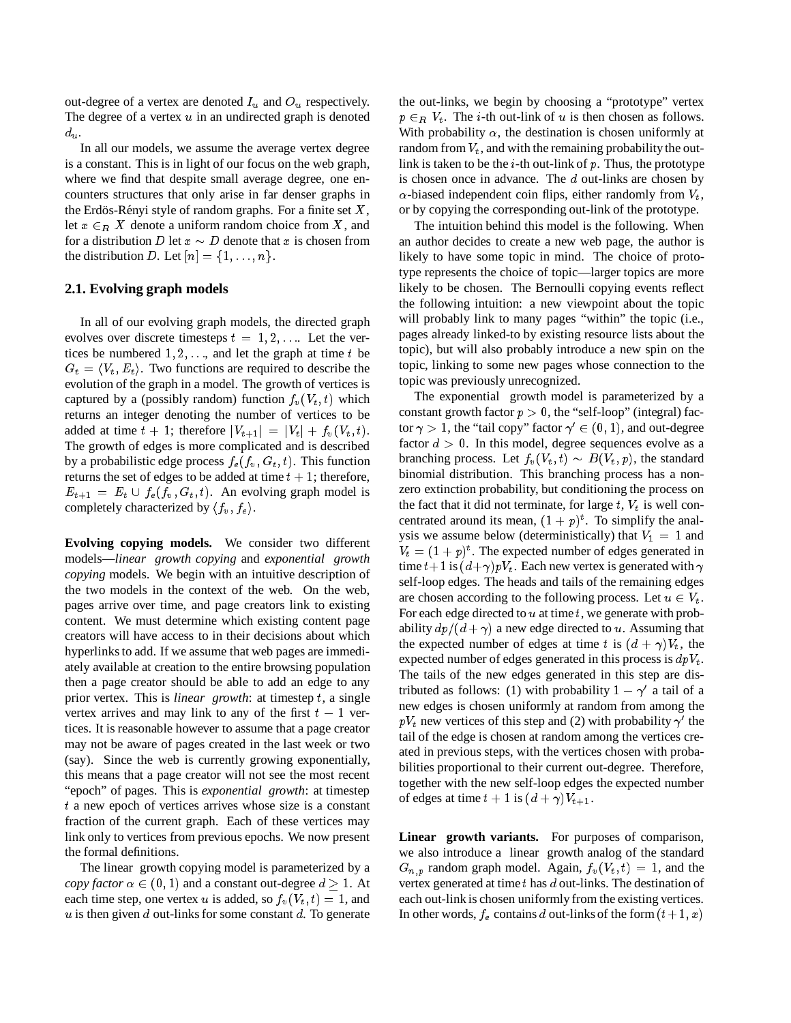out-degree of a vertex are denoted  $I_u$  and  $O_u$  respectively. The degree of a vertex  $u$  in an undirected graph is denoted  $d_u$ .

In all our models, we assume the average vertex degree is a constant. This is in light of our focus on the web graph, where we find that despite small average degree, one encounters structures that only arise in far denser graphs in the Erdös-Rényi style of random graphs. For a finite set  $X$ , let  $x \in_R X$  denote a uniform random choice from X, and for a distribution D let  $x \sim D$  denote that x is chosen from the distribution D. Let  $[n] = \{1, \ldots, n\}.$ 

## **2.1. Evolving graph models**

In all of our evolving graph models, the directed graph evolves over discrete timesteps  $t = 1, 2, \ldots$  Let the vertices be numbered  $1, 2, \ldots$ , and let the graph at time t be  $G_t = \langle V_t, E_t \rangle$ . Two functions are required to describe the evolution of the graph in a model. The growth of vertices is captured by a (possibly random) function  $f_v(V_t, t)$  which returns an integer denoting the number of vertices to be added at time  $t + 1$ ; therefore  $|V_{t+1}| = |V_t| + f_v(V_t, t)$ . The growth of edges is more complicated and is described by a probabilistic edge process  $f_e(f_v, G_t, t)$ . This function returns the set of edges to be added at time  $t + 1$ ; therefore,  $E_{t+1} = E_t \cup f_e(f_v, G_t, t)$ . An evolving graph model is completely characterized by  $\langle f_v, f_e \rangle$ .

**Evolving copying models.** We consider two different models—*linear growth copying* and *exponential growth copying* models. We begin with an intuitive description of the two models in the context of the web. On the web, pages arrive over time, and page creators link to existing content. We must determine which existing content page creators will have access to in their decisions about which hyperlinks to add. If we assume that web pages are immediately available at creation to the entire browsing population then a page creator should be able to add an edge to any prior vertex. This is *linear growth*: at timestep <sup>t</sup>, a single vertex arrives and may link to any of the first  $t - 1$  vertices. It is reasonable however to assume that a page creator may not be aware of pages created in the last week or two (say). Since the web is currently growing exponentially, this means that a page creator will not see the most recent "epoch" of pages. This is *exponential growth*: at timestep <sup>t</sup> a new epoch of vertices arrives whose size is a constant fraction of the current graph. Each of these vertices may link only to vertices from previous epochs. We now present the formal definitions.

The linear growth copying model is parameterized by a *copy factor*  $\alpha \in (0, 1)$  and a constant out-degree  $d > 1$ . At each time step, one vertex u is added, so  $f_v(V_t, t)=1$ , and  $u$  is then given  $d$  out-links for some constant  $d$ . To generate

the out-links, we begin by choosing a "prototype" vertex  $p \in_R V_t$ . The *i*-th out-link of u is then chosen as follows. With probability  $\alpha$ , the destination is chosen uniformly at random from  $V_t$ , and with the remaining probability the outlink is taken to be the  $i$ -th out-link of  $p$ . Thus, the prototype is chosen once in advance. The <sup>d</sup> out-links are chosen by  $\alpha$ -biased independent coin flips, either randomly from  $V_t$ , or by copying the corresponding out-link of the prototype.

The intuition behind this model is the following. When an author decides to create a new web page, the author is likely to have some topic in mind. The choice of prototype represents the choice of topic—larger topics are more likely to be chosen. The Bernoulli copying events reflect the following intuition: a new viewpoint about the topic will probably link to many pages "within" the topic (i.e., pages already linked-to by existing resource lists about the topic), but will also probably introduce a new spin on the topic, linking to some new pages whose connection to the topic was previously unrecognized.

The exponential growth model is parameterized by a constant growth factor  $p > 0$ , the "self-loop" (integral) factor  $\gamma > 1$ , the "tail copy" factor  $\gamma' \in (0, 1)$ , and out-degree factor  $d > 0$ . In this model, degree sequences evolve as a branching process. Let  $f_v(V_t, t) \sim B(V_t, p)$ , the standard binomial distribution. This branching process has a nonzero extinction probability, but conditioning the process on the fact that it did not terminate, for large  $t$ ,  $V_t$  is well concentrated around its mean,  $(1+p)^t$ . To simplify the analysis we assume below (deterministically) that  $V_1 = 1$  and  $V_t = (1+p)^t$ . The expected number of edges generated in time  $t+1$  is  $(d+\gamma)pV_t$ . Each new vertex is generated with  $\gamma$ self-loop edges. The heads and tails of the remaining edges are chosen according to the following process. Let  $u \in V_t$ . For each edge directed to  $u$  at time  $t$ , we generate with probability  $dp/(d + \gamma)$  a new edge directed to u. Assuming that the expected number of edges at time t is  $(d + \gamma)V_t$ , the expected number of edges generated in this process is  $dpV_t$ . The tails of the new edges generated in this step are distributed as follows: (1) with probability  $1 - \gamma'$  a tail of a new edges is chosen uniformly at random from among the  $pV_t$  new vertices of this step and (2) with probability  $\gamma'$  the tail of the edge is chosen at random among the vertices created in previous steps, with the vertices chosen with probabilities proportional to their current out-degree. Therefore, together with the new self-loop edges the expected number of edges at time  $t + 1$  is  $(d + \gamma)V_{t+1}$ .

**Linear growth variants.** For purposes of comparison, we also introduce a linear growth analog of the standard  $G_{n,p}$  random graph model. Again,  $f_v(V_t, t)=1$ , and the vertex generated at time  $t$  has  $d$  out-links. The destination of each out-link is chosen uniformly from the existing vertices. In other words,  $f_e$  contains d out-links of the form  $(t + 1, x)$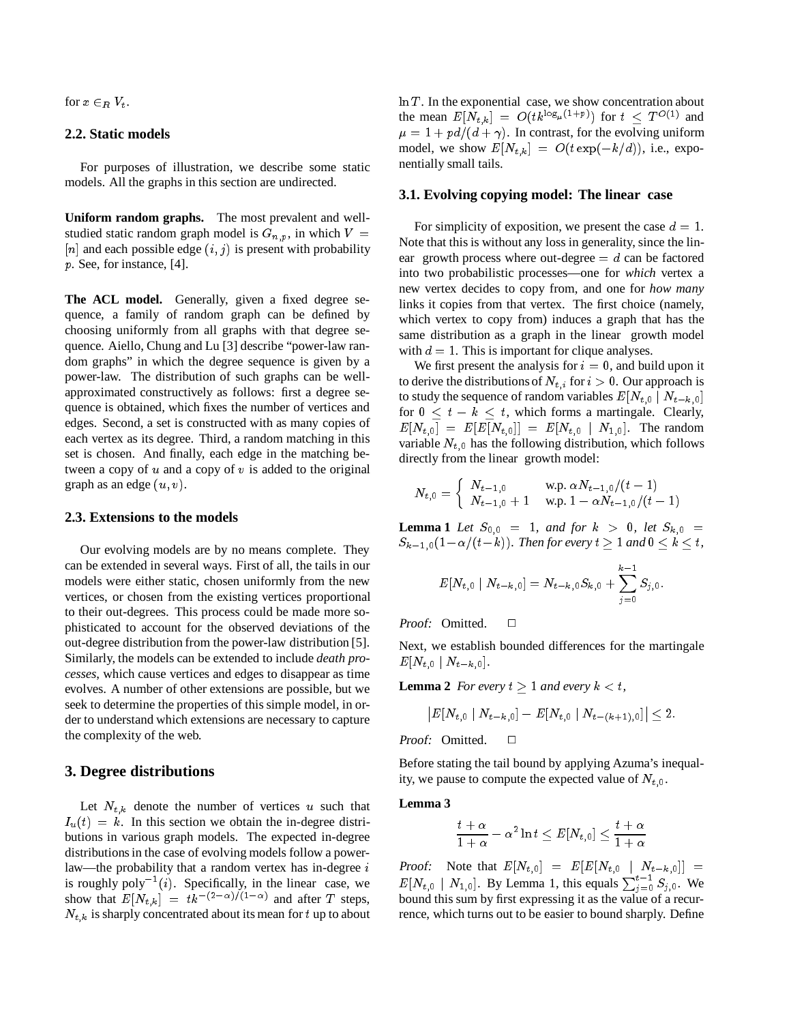for  $x \in_R V_t$ .

## **2.2. Static models**

For purposes of illustration, we describe some static models. All the graphs in this section are undirected.

**Uniform random graphs.** The most prevalent and wellstudied static random graph model is  $G_{n,p}$ , in which  $V =$ [n] and each possible edge  $(i, j)$  is present with probability <sup>p</sup>. See, for instance, [4].

The ACL model. Generally, given a fixed degree sequence, a family of random graph can be defined by choosing uniformly from all graphs with that degree sequence. Aiello, Chung and Lu [3] describe "power-law random graphs" in which the degree sequence is given by a power-law. The distribution of such graphs can be wellapproximated constructively as follows: first a degree sequence is obtained, which fixes the number of vertices and edges. Second, a set is constructed with as many copies of each vertex as its degree. Third, a random matching in this set is chosen. And finally, each edge in the matching between a copy of  $u$  and a copy of  $v$  is added to the original graph as an edge  $(u, v)$ .

## **2.3. Extensions to the models**

Our evolving models are by no means complete. They can be extended in several ways. First of all, the tails in our models were either static, chosen uniformly from the new vertices, or chosen from the existing vertices proportional to their out-degrees. This process could be made more sophisticated to account for the observed deviations of the out-degree distribution from the power-law distribution [5]. Similarly, the models can be extended to include *death processes*, which cause vertices and edges to disappear as time evolves. A number of other extensions are possible, but we seek to determine the properties of this simple model, in order to understand which extensions are necessary to capture the complexity of the web.

## **3. Degree distributions**

Let  $N_{t,k}$  denote the number of vertices u such that  $I_u(t) = k$ . In this section we obtain the in-degree distributions in various graph models. The expected in-degree distributions in the case of evolving models follow a powerlaw—the probability that a random vertex has in-degree  $i$ is roughly poly<sup> $-1(i)$ </sup>. Specifically, in the linear case, we show that  $E[N_{t,k}] = tk^{-(2-\alpha)/(1-\alpha)}$  and after T steps,  $N_{t,k}$  is sharply concentrated about its mean for t up to about

 $\ln T$ . In the exponential case, we show concentration about the mean  $E[N_{t,k}]= O(tk^{\log_\mu(1+p)})$  for  $t \leq T^{O(1)}$  and  $\mu = 1 + pd/(d + \gamma)$ . In contrast, for the evolving uniform model, we show  $E[N_{t,k}]= O(t \exp(-k/d))$ , i.e., exponentially small tails.

### **3.1. Evolving copying model: The linear case**

For simplicity of exposition, we present the case  $d = 1$ . Note that this is without any loss in generality, since the linear growth process where out-degree  $= d$  can be factored into two probabilistic processes—one for *which* vertex a new vertex decides to copy from, and one for *how many* links it copies from that vertex. The first choice (namely, which vertex to copy from) induces a graph that has the same distribution as a graph in the linear growth model with  $d = 1$ . This is important for clique analyses.

We first present the analysis for  $i = 0$ , and build upon it to derive the distributions of  $N_{t,i}$  for  $i > 0$ . Our approach is to study the sequence of random variables  $E[N_{t,0} | N_{t-k,0}]$ for  $0 \leq t - k \leq t$ , which forms a martingale. Clearly,  $E[N_{t,0}$   $\overline{\phantom{B}}] = E[E[N_{t,0}]] = E[N_{t,0} \mid N_{1,0}].$  The random variable  $N_{t,0}$  has the following distribution, which follows directly from the linear growth model:

$$
N_{t,0} = \left\{ \begin{array}{ll} N_{t-1,0} &\text{w.p. }\alpha N_{t-1,0}/(t-1) \\ N_{t-1,0}+1 &\text{w.p. } 1-\alpha N_{t-1,0}/(t-1) \end{array} \right.
$$

**Lemma 1** Let  $S_{0,0} = 1$ , and for  $k > 0$ , let  $S_{k,0} =$  $S_{k-1,0}(1-\alpha/(t-k))$ *. Then for every*  $t \geq 1$  and  $0 \leq k \leq t$ *,* 

$$
E[N_{t,0}\mid N_{t-k,0}]=N_{t-k,0}S_{k,0}+\sum_{j=0}^{k-1}S_{j,0}.
$$

Proof: Omitted.  $\square$ 

Next, we establish bounded differences for the martingale  $E[N_{t,0} \mid N_{t-k,0}].$ 

**Lemma 2** *For every*  $t \geq 1$  *and every*  $k < t$ *,* 

$$
\big| E[N_{t_{\cdot}0}\mid N_{t-k_{\cdot}0}]-E[N_{t_{\cdot}0}\mid N_{t-(k+1)_\cdot 0}]\big|\leq 2.
$$

Proof: Omitted.  $\Box$ 

Before stating the tail bound by applying Azuma's inequality, we pause to compute the expected value of  $N_{t,0}$ .

#### **Lemma 3**

$$
\frac{t+\alpha}{1+\alpha}-\alpha^2\ln t\leq E[N_{t, \, 0}]\leq \frac{t+\alpha}{1+\alpha}
$$

Proof: Note that  $E[N_{t,0}]= E[E[N_{t,0} \mid N_{t-k,0}]]$  =  $E[N_{t,0} \mid N_{1,0}].$  By Lemma 1, this equals  $\sum_{j=0}^{t-1} S_{j,0}$ . We bound this sum by first expressing it as the value of a recurrence, which turns out to be easier to bound sharply. Define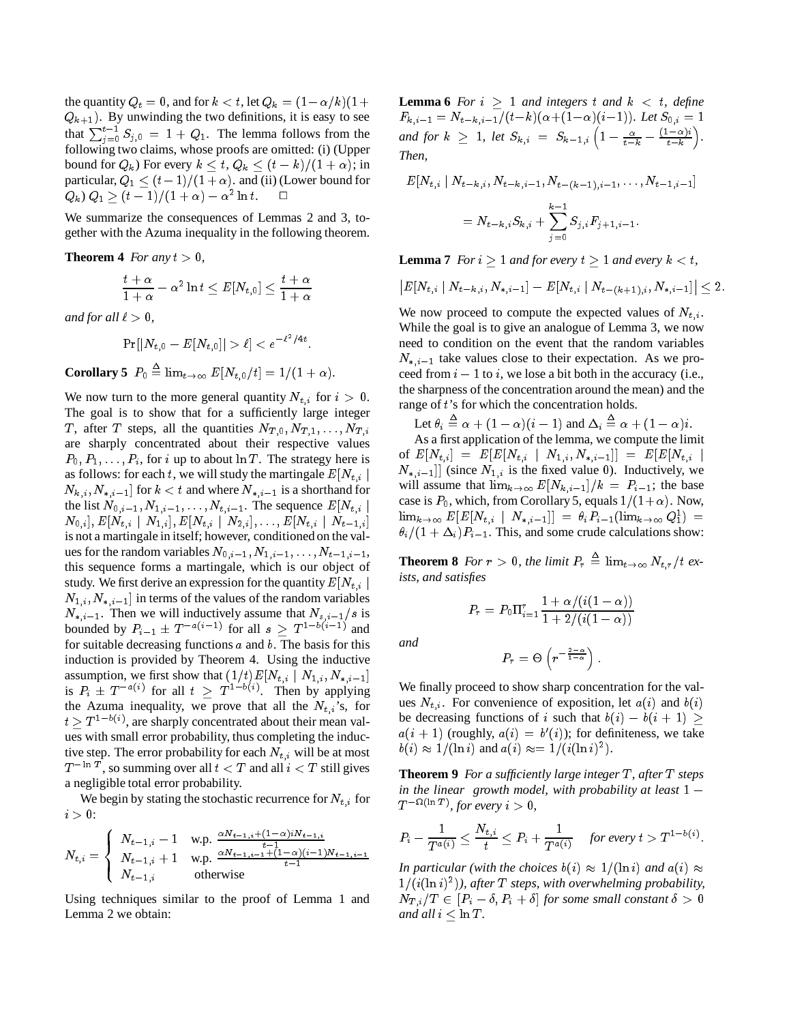the quantity  $Q_t = 0$ , and for  $k < t$ , let  $Q_k = (1 - \alpha/k)(1 +$  $Q_{k+1}$ ). By unwinding the two definitions, it is easy to see that  $\sum_{i=0}^{t-1} S_{j,0} = 1 + Q_1$ . The lemma follows from the following two claims, whose proofs are omitted: (i) (Upper bound for  $Q_k$ ) For every  $k \le t$ ,  $Q_k \le (t - k)/(1 + \alpha)$ ; in particular,  $Q_1 \le (t - 1)/(1 + \alpha)$ . and (ii) (Lower bound for  $Q_k$ )  $Q_1 \geq (t-1)/(1+\alpha) - \alpha^2 \ln t$ .

We summarize the consequences of Lemmas 2 and 3, together with the Azuma inequality in the following theorem.

**Theorem 4** *For any*  $t > 0$ *,* 

$$
\frac{t+\alpha}{1+\alpha}-\alpha^2\ln t\leq E[N_{t,0}]\leq \frac{t+\alpha}{1+\alpha}
$$

*and for all*  $\ell > 0$ *,* 

 $\Pr[|N_{t\_0} - E[N_{t\_0}]| > \ell] < e^{-\ell^{-}/4t}$  .

**Corollary 5**  $P_0 \triangleq \lim_{t \to \infty} E[N_{t,0}/t]=1/(1+\alpha)$ .

We now turn to the more general quantity  $N_{t,i}$  for  $i > 0$ . The goal is to show that for a sufficiently large integer T, after T steps, all the quantities  $N_{T,0}, N_{T,1}, \ldots, N_{T,i}$ are sharply concentrated about their respective values  $P_0, P_1, \ldots, P_i$ , for i up to about ln T. The strategy here is as follows: for each t, we will study the martingale  $E[N_{t,i}]$  $N_{k,i}$ ,  $N_{k,i-1}$  for  $k < t$  and where  $N_{k,i-1}$  is a shorthand for the list  $N_{0,i-1}, N_{1,i-1}, \ldots, N_{t,i-1}$ . The sequence  $E[N_{t,i}]$  $[N_{0,i}], E[N_{t,i} \mid N_{1,i}], E[N_{t,i} \mid N_{2,i}], \dots, E[N_{t,i} \mid N_{t-1,i}]$ is not a martingale in itself; however, conditioned on the values for the random variables  $N_{0,i-1}$ ,  $N_{1,i-1}$ ,  $\ldots$ ,  $N_{t-1,i-1}$ , this sequence forms a martingale, which is our object of study. We first derive an expression for the quantity  $E[N_{t,i}]$  $N_{1,i}$ ,  $N_{*,i-1}$  in terms of the values of the random variables  $N_{*,i-1}$ . Then we will inductively assume that  $N_{s,i-1}/s$  is bounded by  $P_{i-1} \pm T^{-a(i-1)}$  for all  $s \geq T^{1-b(i-1)}$  and for suitable decreasing functions  $a$  and  $b$ . The basis for this induction is provided by Theorem 4. Using the inductive assumption, we first show that  $(1/t)E[N_{t,i} \mid N_{1,i}, N_{i,i-1}]$ is  $P_i \pm T^{-a(i)}$  for all  $t \geq T^{1-b(i)}$ . Then by applying the Azuma inequality, we prove that all the  $N_{t,i}$ 's, for  $t \geq T^{1-b(i)}$ , are sharply concentrated about their mean values with small error probability, thus completing the inductive step. The error probability for each  $N_{t,i}$  will be at most  $T^{-\ln T}$ , so summing over all  $t < T$  and all  $i < T$  still gives a negligible total error probability.

We begin by stating the stochastic recurrence for  $N_{t,i}$  for  $i > 0$ :

$$
N_{t,i} = \begin{cases} N_{t-1,i} - 1 & \text{w.p.} \ \frac{\alpha N_{t-1,i} + (1-\alpha)iN_{t-1,i}}{t-1} \\ N_{t-1,i} + 1 & \text{w.p.} \ \frac{\alpha N_{t-1,i-1} + (1-\alpha)(i-1)N_{t-1,i-1}}{t-1} \\ N_{t-1,i} & \text{otherwise} \end{cases}
$$

Using techniques similar to the proof of Lemma 1 and Lemma 2 we obtain:

**Lemma 6** *For*  $i \geq 1$  *and integers*  $t$  *and*  $k < t$ *, define*  $F_{k,i-1} = N_{t-k,i-1}/(t-k)(\alpha{+(1{-}\alpha)}(i{-}1)).$  Let  $S_{0,i} = 1$ *and for*  $k \geq 1$ , let  $S_{k,i} = S_{k-1,i} \left( 1 - \frac{\alpha}{t-k} - \frac{(1-\alpha)i}{t-k} \right)$ . *Then,*

$$
E[N_{t,i} \mid N_{t-k,i}, N_{t-k,i-1}, N_{t-(k-1),i-1}, \ldots, N_{t-1,i-1}]
$$
  
= 
$$
N_{t-k,i}S_{k,i} + \sum_{j=0}^{k-1} S_{j,i}F_{j+1,i-1}.
$$

**Lemma 7** *For*  $i \geq 1$  *and for every*  $t \geq 1$  *and every*  $k < t$ *,* 

$$
\big|E[N_{t,i} \mid N_{t-k,i}, N_{*,i-1}]-E[N_{t,i} \mid N_{t-(k+1),i}, N_{*,i-1}]\big| \leq 2.
$$

We now proceed to compute the expected values of  $N_{t,i}$ . While the goal is to give an analogue of Lemma 3, we now need to condition on the event that the random variables  $N_{*,i-1}$  take values close to their expectation. As we proceed from  $i - 1$  to i, we lose a bit both in the accuracy (i.e., the sharpness of the concentration around the mean) and the range of t's for which the concentration holds.

Let  $\theta_i \triangleq \alpha + (1 - \alpha)(i - 1)$  and  $\Delta_i \triangleq \alpha + (1 - \alpha)i$ .

As a first application of the lemma, we compute the limit of  $E[N_{t,i}] = E[E[N_{t,i} \mid N_{1,i}, N_{*,i-1}]] = E[E[N_{t,i} \mid$  $[N_{*,i-1}]$  (since  $N_{1,i}$  is the fixed value 0). Inductively, we will assume that  $\lim_{k\to\infty} E[N_{k,i-1}]/k = P_{i-1}$ ; the base case is  $P_0$ , which, from Corollary 5, equals  $1/(1+\alpha)$ . Now,  $\lim_{k\to\infty} E[E[N_{t,i} \,\,\mid\, N_{*,i-1}]] \ = \ \theta_i \, P_{i-1}(\lim_{k\to\infty} Q^1_1) \ =$  $\theta_i/(1 + \Delta_i)P_{i-1}$ . This, and some crude calculations show:

**Theorem 8** *For*  $r > 0$ *, the limit*  $P_r \triangleq \lim_{t \to \infty} N_{t,r}/t$  *exists, and satisfies*

$$
P_r = P_0 \Pi_{i=1}^r \frac{1+\alpha/(i(1-\alpha))}{1+2/(i(1-\alpha))}
$$

*and*

$$
P_r = \Theta\left(r^{-\frac{2-\alpha}{1-\alpha}}\right).
$$

We finally proceed to show sharp concentration for the values  $N_{t,i}$ . For convenience of exposition, let  $a(i)$  and  $b(i)$ be decreasing functions of i such that  $b(i) - b(i + 1) \ge$  $a(i + 1)$  (roughly,  $a(i) = b'(i)$ ); for definiteness, we take  $b(i) \approx 1/(\ln i)$  and  $a(i) \approx 1/(i(\ln i)^2)$ .

**Theorem 9** *For a sufficiently large integer T, after T steps in the linear growth model, with probability at least* <sup>1</sup>  $T^{-\Omega(\ln T)}$ , for every  $i > 0$ ,

$$
P_i - \frac{1}{T^{a(i)}} \leq \frac{N_{t,i}}{t} \leq P_i + \frac{1}{T^{a(i)}} \quad \text{for every } t > T^{1-b(i)}.
$$

*In particular (with the choices*  $b(i) \approx 1/(\ln i)$  *and*  $a(i) \approx$  $1/(i(\ln i)^2)$ , after T steps, with overwhelming probability,  $N_{T,i}/T \in [P_i - \delta, P_i + \delta]$  *for some small constant*  $\delta > 0$ *and all*  $i < \ln T$ *.*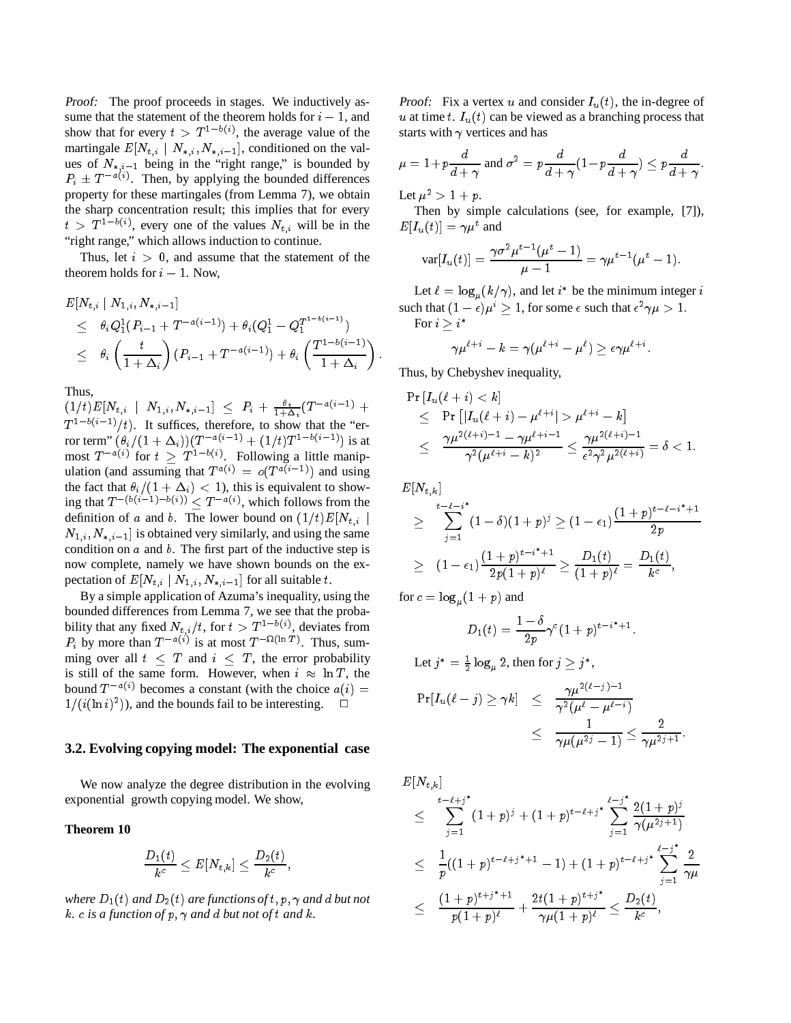Proof: The proof proceeds in stages. We inductively assume that the statement of the theorem holds for  $i - 1$ , and show that for every  $t > T^{1-b(i)}$ , the average value of the martingale  $E[N_{t,i} \mid N_{*,i}, N_{*,i-1}]$ , conditioned on the values of  $N_{i,i-1}$  being in the "right range," is bounded by  $P_i \pm T^{-a(i)}$ . Then, by applying the bounded differences property for these martingales (from Lemma 7), we obtain the sharp concentration result; this implies that for every  $t > T^{1-b(i)}$ , every one of the values  $N_{t,i}$  will be in the "right range," which allows induction to continue.

Thus, let  $i > 0$ , and assume that the statement of the theorem holds for  $i - 1$ . Now,

$$
\begin{array}{lcl} & E[N_{t,i} \mid N_{1,i}, N_{*,i-1}] & \mathrm{st} \\ & \leq & \theta_i Q_1^1 (P_{i-1} + T^{-a(i-1)}) + \theta_i (Q_1^1 - Q_1^{T^{1-b(i-1)}}) \\ & \leq & \theta_i \left( \frac{t}{1 + \Delta_i} \right) (P_{i-1} + T^{-a(i-1)}) + \theta_i \left( \frac{T^{1-b(i-1)}}{1 + \Delta_i} \right) \, . \\ & & \mathrm{T} \end{array}
$$

Thus,

 $\left( 1/t)E[N_{t,i} \;\;\mid\; N_{1,i}, N_{*,i-1}]\;\leq\; P_i \,+\, \tfrac{\theta\,i}{1+\Delta_i}(T^{-a(i-1)} \;+\;$  $T^{1-b(i-1)}/t$ . It suffices, therefore, to show that the "error term"  $(\theta_i/(1 + \Delta_i))(T^{-a(i-1)} + (1/t)T^{1-b(i-1)})$  is at most  $T^{-\alpha(i)}$  for  $t \geq T^{1-b(i)}$ . Following a little manipulation (and assuming that  $T^{a(i)} = o(T^{a(i-1)})$  and using the fact that  $\theta_i/(1 + \Delta_i) < 1$ ), this is equivalent to showing that  $T^{-(b(i-1)-b(i))} \leq T^{-a(i)}$ , which follows from the definition of a and b. The lower bound on  $(1/t)E[N_{t,i}]$  $N_{1,i}$ ,  $N_{*,i-1}$  is obtained very similarly, and using the same condition on  $a$  and  $b$ . The first part of the inductive step is now complete, namely we have shown bounds on the expectation of  $E[N_{t,i} | N_{1,i}, N_{t,i-1}]$  for all suitable t.

By a simple application of Azuma's inequality, using the bounded differences from Lemma 7, we see that the probability that any fixed  $N_{t,i}/t$ , for  $t>T^{1-b(i)}$ , deviates from  $P_i$  by more than  $T^{-a(i)}$  is at most  $T^{-\Omega(\ln T)}$ . Thus, summing over all  $t \leq T$  and  $i \leq T$ , the error probability is still of the same form. However, when  $i \approx \ln T$ , the bound  $T^{-a(i)}$  becomes a constant (with the choice  $a(i)$  =  $1/(i(\ln i)^2)$ , and the bounds fail to be interesting.  $\Box$ 

## **3.2. Evolving copying model: The exponential case**

We now analyze the degree distribution in the evolving exponential growth copying model. We show,

## **Theorem 10**

$$
\frac{D_1(t)}{k^{\frac{c}{c}}} \leq E[N_{t,k}] \leq \frac{D_2(t)}{k^{\frac{c}{c}}},
$$

where  $D_1(t)$  and  $D_2(t)$  are functions of t, p,  $\gamma$  and d but not  $k \cdot c$  *is a function of*  $p, \gamma$  *and d but not of t and*  $k \cdot d$ .

**Proof:** Fix a vertex u and consider  $I_u(t)$ , the in-degree of u at time t.  $I_u(t)$  can be viewed as a branching process that starts with  $\gamma$  vertices and has

$$
\mu = 1 + p \frac{d}{d + \gamma} \text{ and } \sigma^2 = p \frac{d}{d + \gamma} (1 - p \frac{d}{d + \gamma}) \le p \frac{d}{d + \gamma}.
$$

Let  $\mu^2 > 1 + p$ .

Then by simple calculations (see, for example, [7]),  $E[I_u(t)] = \gamma \mu^t$  and

$$
var[I_{u}(t)] = \frac{\gamma \sigma^{2} \mu^{t-1}(\mu^{t} - 1)}{\mu - 1} = \gamma \mu^{t-1}(\mu^{t} - 1).
$$

Let  $\ell = \log_u(k/\gamma)$ , and let  $i^*$  be the minimum integer i such that  $(1 - \epsilon)\mu^2 \ge 1$ , for some  $\epsilon$  such that  $\epsilon^2 \gamma \mu > 1$ . For  $i > i^*$ 

$$
\gamma\mu^{\ell+i}-k=\gamma(\mu^{\ell+i}-\mu^\ell)\geq \epsilon\gamma\mu^{\ell+i}.
$$

Thus, by Chebyshev inequality,

$$
\Pr[I_u(\ell+i) < k] \\
\leq \Pr\left[|I_u(\ell+i) - \mu^{\ell+i}| > \mu^{\ell+i} - k\right] \\
\leq \frac{\gamma \mu^{2(\ell+i)-1} - \gamma \mu^{\ell+i-1}}{\gamma^2 (\mu^{\ell+i}-k)^2} \leq \frac{\gamma \mu^{2(\ell+i)-1}}{\epsilon^2 \gamma^2 \mu^{2(\ell+i)}} = \delta < 1.
$$

 $E[N_{t,k}]$ 

$$
\geq \sum_{j=1}^{t-\ell-i^*} (1-\delta)(1+p)^j \geq (1-\epsilon_1) \frac{(1+p)^{t-\ell-i^*+1}}{2p}
$$
  
 
$$
\geq (1-\epsilon_1) \frac{(1+p)^{t-i^*+1}}{2p(1+p)^{\ell}} \geq \frac{D_1(t)}{(1+p)^{\ell}} = \frac{D_1(t)}{k^c},
$$

for  $c = \log_{\mu}(1 + p)$  and

$$
D_1(t) = \frac{1-\delta}{2p} \gamma^c (1+p)^{t-i^*+1}.
$$

Let  $j^* = \frac{1}{2} \log_{\mu} 2$ , then for  $j \geq j^*$ , -

$$
\begin{array}{lcl} \Pr[I_u(\ell-j) \geq \gamma k] & \leq & \frac{\gamma \mu^{2(\ell-j)-1}}{\gamma^2(\mu^\ell-\mu^{\ell-i})} \\ & \leq & \frac{1}{\gamma \mu(\mu^{2j}-1)} \leq \frac{2}{\gamma \mu^{2j+1}}. \end{array}
$$

 $E[N_{t,k}]$ 

$$
\leq \sum_{j=1}^{t-\ell+j} (1+p)^j + (1+p)^{t-\ell+j} \sum_{j=1}^{\ell-j} \frac{2(1+p)^j}{\gamma(\mu^{2j+1})}
$$
\n
$$
\leq \frac{1}{p}((1+p)^{t-\ell+j}+1-1) + (1+p)^{t-\ell+j} \sum_{j=1}^{\ell-j} \frac{2}{\gamma\mu}
$$
\n
$$
\leq \frac{(1+p)^{t+j^*+1}}{p(1+p)^{\ell}} + \frac{2t(1+p)^{t+j^*}}{\gamma\mu(1+p)^{\ell}} \leq \frac{D_2(t)}{k^c},
$$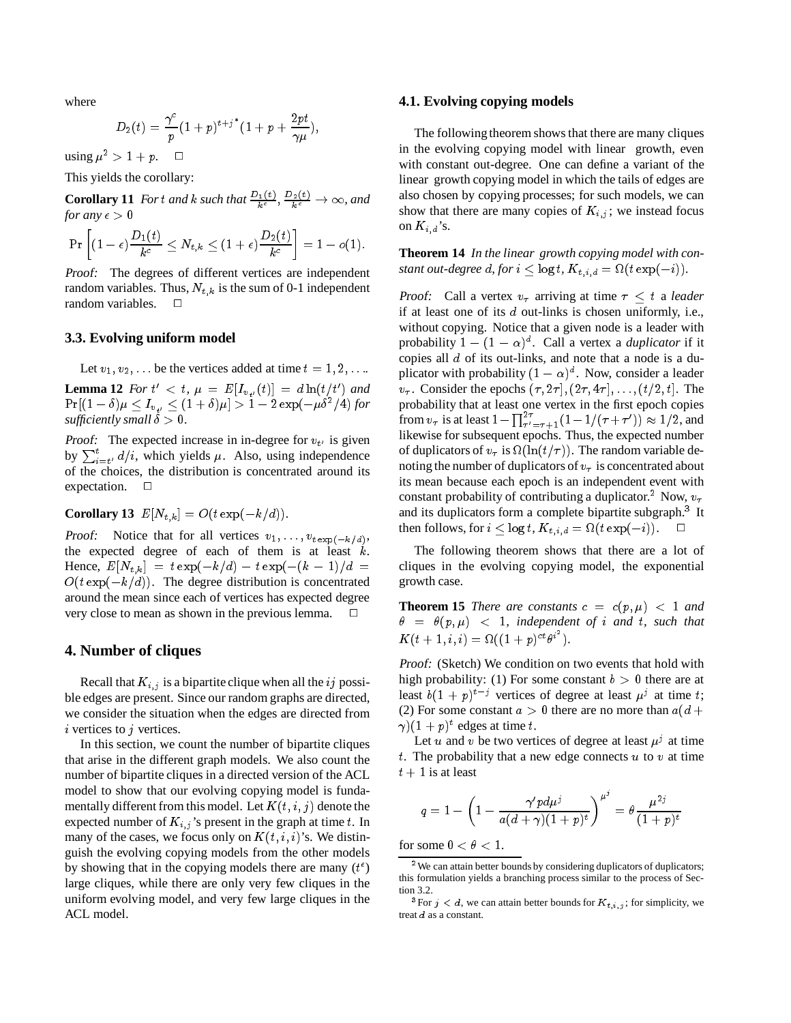where

$$
D_2(t) = \frac{\gamma^c}{p} (1+p)^{t+j^*} (1+p+\frac{2pt}{\gamma \mu}),
$$

using  $\mu^2 > 1+p$ .  $\Box$ 

This yields the corollary:

**Corollary 11** *Fort and k such that*  $\frac{D_1(t)}{k^c}$ ,  $\frac{D_2(t)}{k^c} \to \infty$ , and *for any*  $\epsilon > 0$ 

$$
\Pr\left[(1-\epsilon)\frac{D_1(t)}{k^c} \leq N_{t,k} \leq (1+\epsilon)\frac{D_2(t)}{k^c}\right] = 1-o(1).
$$

Proof: The degrees of different vertices are independent random variables. Thus,  $N_{t,k}$  is the sum of 0-1 independent random variables.  $\square$ 

### **3.3. Evolving uniform model**

Let  $v_1, v_2, \ldots$  be the vertices added at time  $t = 1, 2, \ldots$ .

**Lemma 12** For  $t' < t$ ,  $\mu = E[I_{v_{t'}}(t)] = d \ln(t/t')$  and  $\Pr[(1-\delta)\mu \leq I_{v_{\cdot t'}} \leq (1+\delta)\mu] > 1 - 2\exp(-\mu\delta^2/4)$  for *sufficiently small*  $\dot{\delta} > 0$ *.* 

Proof: The expected increase in in-degree for  $v_{t'}$  is given by  $\sum_{i=t'}^{t} d/i$ , which yields  $\mu$ . Also, using independence of the choices, the distribution is concentrated around its expectation.  $\square$ 

**Corollary 13**  $E[N_{t,k}] = O(t \exp(-k/d)).$ 

Proof: Notice that for all vertices  $v_1, \ldots, v_{t \exp(-k/d)},$ the expected degree of each of them is at least  $k$ . Hence,  $E[N_{t,k}] = t \exp(-k/d) - t \exp(-(k-1)/d)$  $O(t \exp(-k/d))$ . The degree distribution is concentrated around the mean since each of vertices has expected degree very close to mean as shown in the previous lemma.  $\Box$ 

## **4. Number of cliques**

Recall that  $K_{i,j}$  is a bipartite clique when all the ij possible edges are present. Since our random graphs are directed, we consider the situation when the edges are directed from  $i$  vertices to  $j$  vertices.

In this section, we count the number of bipartite cliques that arise in the different graph models. We also count the number of bipartite cliques in a directed version of the ACL model to show that our evolving copying model is fundamentally different from this model. Let  $K(t, i, j)$  denote the expected number of  $K_{i,j}$ 's present in the graph at time t. In many of the cases, we focus only on  $K(t, i, i)$ 's. We distinguish the evolving copying models from the other models by showing that in the copying models there are many  $(t^{\epsilon})$ large cliques, while there are only very few cliques in the uniform evolving model, and very few large cliques in the ACL model.

## **4.1. Evolving copying models**

The following theorem shows that there are many cliques in the evolving copying model with linear growth, even with constant out-degree. One can define a variant of the linear growth copying model in which the tails of edges are also chosen by copying processes; for such models, we can show that there are many copies of  $K_{i,j}$ ; we instead focus on  $K_{i,d}$ 's.

**Theorem 14** *In the linear growth copying model with constant out-degree d, for*  $i \leq \log t$ ,  $K_{t,i,d} = \Omega(t \exp(-i)).$ 

Proof: Call a vertex  $v_{\tau}$  arriving at time  $\tau \leq t$  a *leader* if at least one of its <sup>d</sup> out-links is chosen uniformly, i.e., without copying. Notice that a given node is a leader with probability  $1 - (1 - \alpha)^d$ . Call a vertex a *duplicator* if it copies all <sup>d</sup> of its out-links, and note that a node is a duplicator with probability  $(1 - \alpha)^d$ . Now, consider a leader  $v_{\tau}$ . Consider the epochs  $(\tau, 2\tau], (2\tau, 4\tau], \ldots, (t/2, t]$ . The probability that at least one vertex in the first epoch copies from  $v_\tau$  is at least  $1 - \prod_{\tau'=\tau+1}^{2\tau} (1 - 1/(\tau + \tau')) \approx 1/2$ , and likewise for subsequent epochs. Thus, the expected number of duplicators of  $v_{\tau}$  is  $\Omega(\ln(t/\tau))$ . The random variable denoting the number of duplicators of  $v<sub>\tau</sub>$  is concentrated about its mean because each epoch is an independent event with constant probability of contributing a duplicator.<sup>2</sup> Now,  $v_{\tau}$ and its duplicators form a complete bipartite subgraph.<sup>3</sup> It then follows, for  $i \leq \log t$ ,  $K_{t,i,d} = \Omega(t \exp(-i))$ .  $\Box$ 

The following theorem shows that there are a lot of cliques in the evolving copying model, the exponential growth case.

**Theorem 15** *There are constants*  $c = c(p, \mu) < 1$  *and*  $\theta = \theta(p, \mu)$  < 1*, independent of i and t, such that*  $K(t + 1, i, i) = \Omega((1 + p)^{ct}\theta^{i^2}).$ 

Proof: (Sketch) We condition on two events that hold with high probability: (1) For some constant  $b > 0$  there are at least  $b(1+p)^{t-j}$  vertices of degree at least  $\mu^{j}$  at time t; (2) For some constant  $a > 0$  there are no more than  $a(d +$  $\gamma$ ) $(1+p)^t$  edges at time t.

Let u and v be two vertices of degree at least  $\mu^{j}$  at time t. The probability that a new edge connects  $u$  to  $v$  at time  $t + 1$  is at least

$$
q = 1 - \left(1 - \frac{\gamma' p d \mu^j}{a (d + \gamma)(1 + p)^t}\right)^{\mu^j} = \theta \frac{\mu^{2j}}{(1 + p)^t}
$$

for some  $0 < \theta < 1$ .

<sup>&</sup>lt;sup>2</sup>We can attain better bounds by considering duplicators of duplicators; this formulation yields a branching process similar to the process of Section 3.2.

<sup>&</sup>lt;sup>3</sup>For  $j < d$ , we can attain better bounds for  $K_{t,i,j}$ ; for simplicity, we treat <sup>d</sup> as a constant.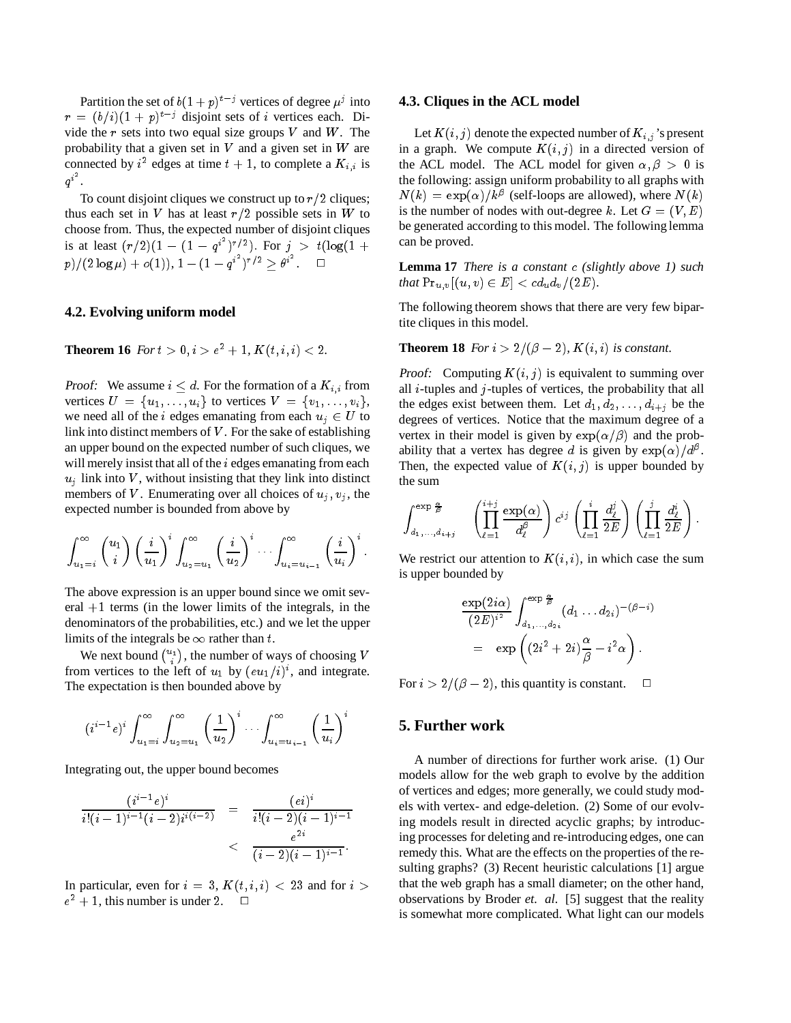Partition the set of  $b(1+p)^{t-j}$  vertices of degree  $\mu^j$  into  $r = (b/i)(1 + p)^{t-j}$  disjoint sets of i vertices each. Divide the  $r$  sets into two equal size groups  $V$  and  $W$ . The probability that a given set in  $V$  and a given set in  $W$  are connected by  $i^2$  edges at time  $t + 1$ , to complete a  $K_{i,i}$  is  $q^i$ .

To count disjoint cliques we construct up to  $r/2$  cliques; thus each set in V has at least  $r/2$  possible sets in W to choose from. Thus, the expected number of disjoint cliques is at least  $(r/2)(1 - (1 - q^{i^2})^{r/2})$ . For  $j > t(\log(1 +$  $p)/(2\log \mu)+o(1)),\,1-(1-q^{i^2})^{r/2}\geq \theta^{i^2}. \quad \ \, \Box$ 

## **4.2. Evolving uniform model**

**Theorem 16** *For*  $t > 0, i > e^2 + 1, K(t, i, i) < 2$ *.* 

**Proof:** We assume  $i \leq d$ . For the formation of a  $K_{i,i}$  from vertices  $U = \{u_1, \ldots, u_i\}$  to vertices  $V = \{v_1, \ldots, v_i\},\$ we need all of the *i* edges emanating from each  $u_j \in U$  to link into distinct members of  $V$ . For the sake of establishing an upper bound on the expected number of such cliques, we will merely insist that all of the *i* edges emanating from each  $u_i$  link into V, without insisting that they link into distinct members of V. Enumerating over all choices of  $u_i$ ,  $v_i$ , the expected number is bounded from above by

$$
\int_{u_1=i}^{\infty} \binom{u_1}{i} \left(\frac{i}{u_1}\right)^i \int_{u_2=u_1}^{\infty} \left(\frac{i}{u_2}\right)^i \cdots \int_{u_i=u_{i-1}}^{\infty} \left(\frac{i}{u_i}\right)^i.
$$

The above expression is an upper bound since we omit several  $+1$  terms (in the lower limits of the integrals, in the denominators of the probabilities, etc.) and we let the upper limits of the integrals be  $\infty$  rather than t.

We next bound  $\binom{u_1}{i}$ , the number of ways of choosing V from vertices to the left of  $u_1$  by  $(eu_1/i)^i$ , and integrate. The expectation is then bounded above by

$$
(i^{i-1}e)^i \int_{u_1=i}^{\infty} \int_{u_2=u_1}^{\infty} \left(\frac{1}{u_2}\right)^i \cdots \int_{u_i=u_{i-1}}^{\infty} \left(\frac{1}{u_i}\right)^i
$$

Integrating out, the upper bound becomes

$$
\frac{(i^{i-1}e)^i}{i!(i-1)^{i-1}(i-2)i^{i(i-2)}}\quad =\quad \frac{(e i)^i}{i!(i-2)(i-1)^{i-1}}\\ \qquad \qquad < \quad \frac{e^{2i}}{(i-2)(i-1)^{i-1}}.
$$

In particular, even for  $i = 3$ ,  $K(t, i, i) < 23$  and for  $i >$  $e^2 + 1$ , this number is under 2.  $\Box$ 

### **4.3. Cliques in the ACL model**

Let  $K(i, j)$  denote the expected number of  $K_{i,j}$ 's present in a graph. We compute  $K(i, j)$  in a directed version of the ACL model. The ACL model for given  $\alpha, \beta > 0$  is the following: assign uniform probability to all graphs with  $N(k) = \exp(\alpha)/k^{\beta}$  (self-loops are allowed), where  $N(k)$ is the number of nodes with out-degree k. Let  $G = (V, E)$ be generated according to this model. The following lemma can be proved.

**Lemma 17** *There is a constant* <sup>c</sup> *(slightly above 1) such that*  $Pr_{u,v}[(u,v) \in E] < cd_u d_v/(2E)$ *.* 

The following theorem shows that there are very few bipartite cliques in this model.

**Theorem 18** *For*  $i > 2/(\beta - 2)$ *,*  $K(i, i)$  *is constant.* 

**Proof:** Computing  $K(i, j)$  is equivalent to summing over all  $i$ -tuples and  $j$ -tuples of vertices, the probability that all the edges exist between them. Let  $d_1, d_2, \ldots, d_{i+j}$  be the degrees of vertices. Notice that the maximum degree of a vertex in their model is given by  $\exp(\alpha/\beta)$  and the probability that a vertex has degree d is given by  $\exp(\alpha)/d^{\beta}$ . Then, the expected value of  $K(i, j)$  is upper bounded by the sum

$$
\int_{d_1,\ldots,d_{i+j}}^{\exp\frac{\alpha}{\beta}} \left( \prod_{\ell=1}^{i+j} \frac{\exp(\alpha)}{d_\ell^{\beta}} \right) c^{ij} \left( \prod_{\ell=1}^i \frac{d_\ell^j}{2E} \right) \left( \prod_{\ell=1}^j \frac{d_\ell^i}{2E} \right).
$$

We restrict our attention to  $K(i, i)$ , in which case the sum is upper bounded by

$$
\frac{\exp(2i\alpha)}{(2E)^{i^2}} \int_{d_1,\ldots,d_{2i}}^{\exp{\frac{\alpha}{\beta}}} (d_1 \ldots d_{2i})^{-(\beta-i)} \n= \exp\left((2i^2+2i)\frac{\alpha}{\beta}-i^2\alpha\right).
$$

For  $i > 2/(\beta - 2)$ , this quantity is constant.  $\Box$ 

# **5. Further work**

A number of directions for further work arise. (1) Our models allow for the web graph to evolve by the addition of vertices and edges; more generally, we could study models with vertex- and edge-deletion. (2) Some of our evolving models result in directed acyclic graphs; by introducing processes for deleting and re-introducing edges, one can remedy this. What are the effects on the properties of the resulting graphs? (3) Recent heuristic calculations [1] argue that the web graph has a small diameter; on the other hand, observations by Broder *et. al.* [5] suggest that the reality is somewhat more complicated. What light can our models